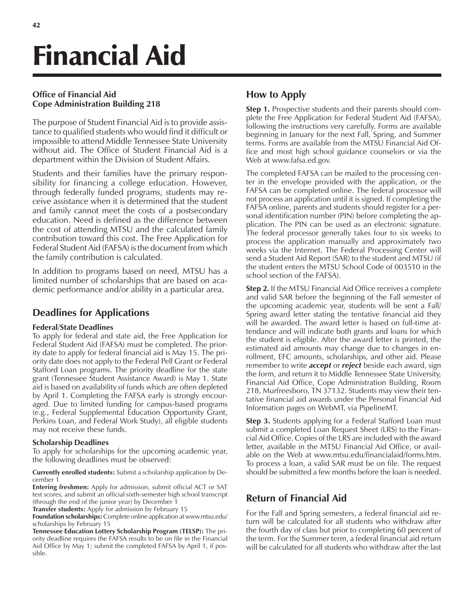# Financial Aid

### **Office of Financial Aid Cope Administration Building 218**

The purpose of Student Financial Aid is to provide assistance to qualified students who would find it difficult or impossible to attend Middle Tennessee State University without aid. The Office of Student Financial Aid is a department within the Division of Student Affairs.

Students and their families have the primary responsibility for financing a college education. However, through federally funded programs, students may receive assistance when it is determined that the student and family cannot meet the costs of a postsecondary education. Need is defined as the difference between the cost of attending MTSU and the calculated family contribution toward this cost. The Free Application for Federal Student Aid (FAFSA) is the document from which the family contribution is calculated.

In addition to programs based on need, MTSU has a limited number of scholarships that are based on academic performance and/or ability in a particular area.

### **Deadlines for Applications**

### **Federal/State Deadlines**

To apply for federal and state aid, the Free Application for Federal Student Aid (FAFSA) must be completed. The priority date to apply for federal financial aid is May 15. The priority date does not apply to the Federal Pell Grant or Federal Stafford Loan programs. The priority deadline for the state grant (Tennessee Student Assistance Award) is May 1. State aid is based on availability of funds which are often depleted by April 1. Completing the FAFSA early is strongly encouraged. Due to limited funding for campus-based programs (e.g., Federal Supplemental Education Opportunity Grant, Perkins Loan, and Federal Work Study), all eligible students may not receive these funds.

### **Scholarship Deadlines**

To apply for scholarships for the upcoming academic year, the following deadlines must be observed:

**Currently enrolled students:** Submit a scholarship application by December 1

**Entering freshmen:** Apply for admission, submit official ACT or SAT test scores, and submit an official sixth-semester high school transcript (through the end of the junior year) by December 1

**Transfer students:** Apply for admission by February 15

**Foundation scholarships:** Complete online application at www.mtsu.edu/ scholarships by February 15

**Tennessee Education Lottery Scholarship Program (TELSP):** The priority deadline requires the FAFSA results to be on file in the Financial Aid Office by May 1; submit the completed FAFSA by April 1, if possible.

### **How to Apply**

**Step 1.** Prospective students and their parents should complete the Free Application for Federal Student Aid (FAFSA), following the instructions very carefully. Forms are available beginning in January for the next Fall, Spring, and Summer terms. Forms are available from the MTSU Financial Aid Office and most high school guidance counselors or via the Web at www.fafsa.ed.gov.

The completed FAFSA can be mailed to the processing center in the envelope provided with the application, or the FAFSA can be completed online. The federal processor will not process an application until it is signed. If completing the FAFSA online, parents and students should register for a personal identification number (PIN) before completing the application. The PIN can be used as an electronic signature. The federal processor generally takes four to six weeks to process the application manually and approximately two weeks via the Internet. The Federal Processing Center will send a Student Aid Report (SAR) to the student and MTSU (if the student enters the MTSU School Code of 003510 in the school section of the FAFSA).

**Step 2.** If the MTSU Financial Aid Office receives a complete and valid SAR before the beginning of the Fall semester of the upcoming academic year, students will be sent a Fall/ Spring award letter stating the tentative financial aid they will be awarded. The award letter is based on full-time attendance and will indicate both grants and loans for which the student is eligible. After the award letter is printed, the estimated aid amounts may change due to changes in enrollment, EFC amounts, scholarships, and other aid. Please remember to write *accept* or *reject* beside each award, sign the form, and return it to Middle Tennessee State University, Financial Aid Office, Cope Administration Building, Room 218, Murfreesboro, TN 37132. Students may view their tentative financial aid awards under the Personal Financial Aid Information pages on WebMT, via PipelineMT.

**Step 3.** Students applying for a Federal Stafford Loan must submit a completed Loan Request Sheet (LRS) to the Financial Aid Office. Copies of the LRS are included with the award letter, available in the MTSU Financial Aid Office, or available on the Web at www.mtsu.edu/financialaid/forms.htm. To process a loan, a valid SAR must be on file. The request should be submitted a few months before the loan is needed.

### **Return of Financial Aid**

For the Fall and Spring semesters, a federal financial aid return will be calculated for all students who withdraw after the fourth day of class but prior to completing 60 percent of the term. For the Summer term, a federal financial aid return will be calculated for all students who withdraw after the last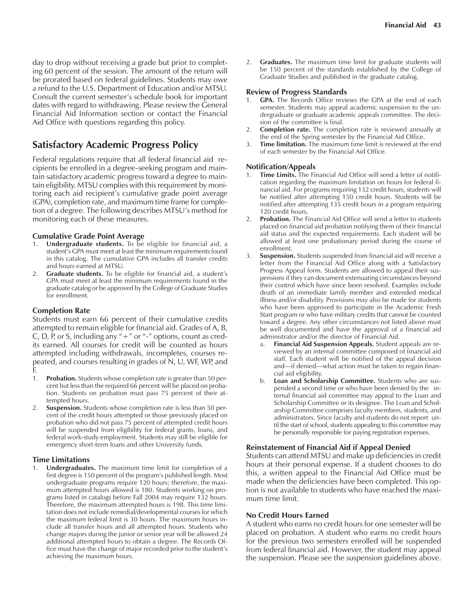day to drop without receiving a grade but prior to completing 60 percent of the session. The amount of the return will be prorated based on federal guidelines. Students may owe a refund to the U.S. Department of Education and/or MTSU. Consult the current semester's schedule book for important dates with regard to withdrawing. Please review the General Financial Aid Information section or contact the Financial Aid Office with questions regarding this policy.

### **Satisfactory Academic Progress Policy**

Federal regulations require that all federal financial aid recipients be enrolled in a degree-seeking program and maintain satisfactory academic progress toward a degree to maintain eligibility. MTSU complies with this requirement by monitoring each aid recipient's cumulative grade point average (GPA), completion rate, and maximum time frame for completion of a degree. The following describes MTSU's method for monitoring each of these measures.

## **Cumulative Grade Point Average**<br>1. Undergraduate students. To be

- 1. **Undergraduate students.** To be eligible for financial aid, a student's GPA must meet at least the minimum requirements found in this catalog. The cumulative GPA includes all transfer credits and hours earned at MTSU.
- Graduate students. To be eligible for financial aid, a student's GPA must meet at least the minimum requirements found in the graduate catalog or be approved by the College of Graduate Studies for enrollment.

### **Completion Rate**

Students must earn 66 percent of their cumulative credits attempted to remain eligible for financial aid. Grades of A, B, C, D, P, or S, including any  $4 + 7$  or  $4 - 7$  options, count as credits earned. All courses for credit will be counted as hours attempted including withdrawals, incompletes, courses repeated, and courses resulting in grades of N, U, WF, WP, and F.

- 1. **Probation.** Students whose completion rate is greater than 50 percent but less than the required 66 percent will be placed on probation. Students on probation must pass 75 percent of their attempted hours.
- 2. **Suspension.** Students whose completion rate is less than 50 percent of the credit hours attempted or those previously placed on probation who did not pass 75 percent of attempted credit hours will be suspended from eligibility for federal grants, loans, and federal work-study employment. Students may still be eligible for emergency short-term loans and other University funds.

### **Time Limitations**

1. **Undergraduates.** The maximum time limit for completion of a first degree is 150 percent of the program's published length. Most undergraduate programs require 120 hours; therefore, the maximum attempted hours allowed is 180. Students working on programs listed in catalogs before Fall 2004 may require 132 hours. Therefore, the maximum attempted hours is 198. This time limitation does not include remedial/developmental courses for which the maximum federal limit is 30 hours. The maximum hours include all transfer hours and all attempted hours. Students who change majors during the junior or senior year will be allowed 24 additional attempted hours to obtain a degree. The Records Office must have the change of major recorded prior to the student's achieving the maximum hours.

2. **Graduates.** The maximum time limit for graduate students will be 150 percent of the standards established by the College of Graduate Studies and published in the graduate catalog.

### **Review of Progress Standards**

- 1. **GPA.** The Records Office reviews the GPA at the end of each semester. Students may appeal academic suspension to the undergraduate or graduate academic appeals committee. The decision of the committee is final.
- 2. **Completion rate.** The completion rate is reviewed annually at the end of the Spring semester by the Financial Aid Office.
- 3. **Time limitation.** The maximum time limit is reviewed at the end of each semester by the Financial Aid Office.

### **Notification/Appeals**

- 1. **Time Limits.** The Financial Aid Office will send a letter of notification regarding the maximum limitation on hours for federal financial aid. For programs requiring 132 credit hours, students will be notified after attempting 150 credit hours. Students will be notified after attempting 135 credit hours in a program requiring 120 credit hours.
- 2. **Probation.** The Financial Aid Office will send a letter to students placed on financial aid probation notifying them of their financial aid status and the expected requirements. Each student will be allowed at least one probationary period during the course of enrollment.
- 3. **Suspension.** Students suspended from financial aid will receive a letter from the Financial Aid Office along with a Satisfactory Progress Appeal form. Students are allowed to appeal their suspensions if they can document extenuating circumstances beyond their control which have since been resolved. Examples include death of an immediate family member and extended medical illness and/or disability. Provisions may also be made for students who have been approved to participate in the Academic Fresh Start program or who have military credits that cannot be counted toward a degree. Any other circumstances not listed above must be well documented and have the approval of a financial aid administrator and/or the director of Financial Aid.
	- a. **Financial Aid Suspension Appeals.** Student appeals are reviewed by an internal committee composed of financial aid staff. Each student will be notified of the appeal decision and-if denied-what action must be taken to regain financial aid eligibility.
	- b. **Loan and Scholarship Committee.** Students who are suspended a second time or who have been denied by the internal financial aid committee may appeal to the Loan and Scholarship Committee or its designee. The Loan and Scholarship Committee comprises faculty members, students, and administrators. Since faculty and students do not report until the start of school, students appealing to this committee may be personally responsible for paying registration expenses.

### **Reinstatement of Financial Aid if Appeal Denied**

Students can attend MTSU and make up deficiencies in credit hours at their personal expense. If a student chooses to do this, a written appeal to the Financial Aid Office must be made when the deficiencies have been completed. This option is not available to students who have reached the maximum time limit.

### **No Credit Hours Earned**

A student who earns no credit hours for one semester will be placed on probation. A student who earns no credit hours for the previous two semesters enrolled will be suspended from federal financial aid. However, the student may appeal the suspension. Please see the suspension guidelines above.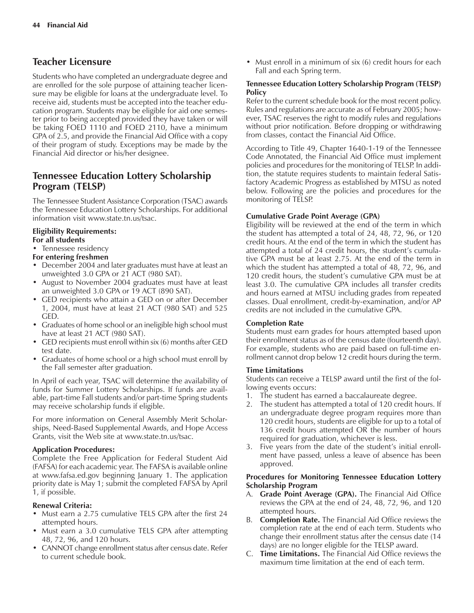### **Teacher Licensure**

Students who have completed an undergraduate degree and are enrolled for the sole purpose of attaining teacher licensure may be eligible for loans at the undergraduate level. To receive aid, students must be accepted into the teacher education program. Students may be eligible for aid one semester prior to being accepted provided they have taken or will be taking FOED 1110 and FOED 2110, have a minimum GPA of 2.5, and provide the Financial Aid Office with a copy of their program of study. Exceptions may be made by the Financial Aid director or his/her designee.

### **Tennessee Education Lottery Scholarship Program (TELSP)**

The Tennessee Student Assistance Corporation (TSAC) awards the Tennessee Education Lottery Scholarships. For additional information visit www.state.tn.us/tsac.

### **Eligibility Requirements:**

### **For all students**

• Tennessee residency

### **For entering freshmen**

- December 2004 and later graduates must have at least an unweighted 3.0 GPA or 21 ACT (980 SAT).
- August to November 2004 graduates must have at least an unweighted 3.0 GPA or 19 ACT (890 SAT).
- GED recipients who attain a GED on or after December 1, 2004, must have at least 21 ACT (980 SAT) and 525 GED.
- Graduates of home school or an ineligible high school must have at least 21 ACT (980 SAT).
- $\bullet$  GED recipients must enroll within six (6) months after GED test date.
- Graduates of home school or a high school must enroll by the Fall semester after graduation.

In April of each year, TSAC will determine the availability of funds for Summer Lottery Scholarships. If funds are available, part-time Fall students and/or part-time Spring students may receive scholarship funds if eligible.

For more information on General Assembly Merit Scholarships, Need-Based Supplemental Awards, and Hope Access Grants, visit the Web site at www.state.tn.us/tsac.

### **Application Procedures:**

Complete the Free Application for Federal Student Aid (FAFSA) for each academic year. The FAFSA is available online at www.fafsa.ed.gov beginning January 1. The application priority date is May 1; submit the completed FAFSA by April 1, if possible.

### **Renewal Criteria:**

- Must earn a 2.75 cumulative TELS GPA after the first 24 attempted hours.
- Must earn a 3.0 cumulative TELS GPA after attempting 48, 72, 96, and 120 hours.
- CANNOT change enrollment status after census date. Refer to current schedule book.

• Must enroll in a minimum of six (6) credit hours for each Fall and each Spring term.

### **Tennessee Education Lottery Scholarship Program (TELSP) Policy**

Refer to the current schedule book for the most recent policy. Rules and regulations are accurate as of February 2005; however, TSAC reserves the right to modify rules and regulations without prior notification. Before dropping or withdrawing from classes, contact the Financial Aid Office.

According to Title 49, Chapter 1640-1-19 of the Tennessee Code Annotated, the Financial Aid Office must implement policies and procedures for the monitoring of TELSP. In addition, the statute requires students to maintain federal Satisfactory Academic Progress as established by MTSU as noted below. Following are the policies and procedures for the monitoring of TELSP.

### **Cumulative Grade Point Average (GPA)**

Eligibility will be reviewed at the end of the term in which the student has attempted a total of 24, 48, 72, 96, or 120 credit hours. At the end of the term in which the student has attempted a total of 24 credit hours, the student's cumulative GPA must be at least 2.75. At the end of the term in which the student has attempted a total of 48, 72, 96, and 120 credit hours, the student's cumulative GPA must be at least 3.0. The cumulative GPA includes all transfer credits and hours earned at MTSU including grades from repeated classes. Dual enrollment, credit-by-examination, and/or AP credits are not included in the cumulative GPA.

### **Completion Rate**

Students must earn grades for hours attempted based upon their enrollment status as of the census date (fourteenth day). For example, students who are paid based on full-time enrollment cannot drop below 12 credit hours during the term.

### **Time Limitations**

Students can receive a TELSP award until the first of the following events occurs:

- 1. The student has earned a baccalaureate degree.
- 2. The student has attempted a total of 120 credit hours. If an undergraduate degree program requires more than 120 credit hours, students are eligible for up to a total of 136 credit hours attempted OR the number of hours required for graduation, whichever is less.
- 3. Five years from the date of the student's initial enrollment have passed, unless a leave of absence has been approved.

### **Procedures for Monitoring Tennessee Education Lottery Scholarship Program**

- A. **Grade Point Average (GPA).** The Financial Aid Office reviews the GPA at the end of 24, 48, 72, 96, and 120 attempted hours.
- B. **Completion Rate.** The Financial Aid Office reviews the completion rate at the end of each term. Students who change their enrollment status after the census date (14 days) are no longer eligible for the TELSP award.
- C. **Time Limitations.** The Financial Aid Office reviews the maximum time limitation at the end of each term.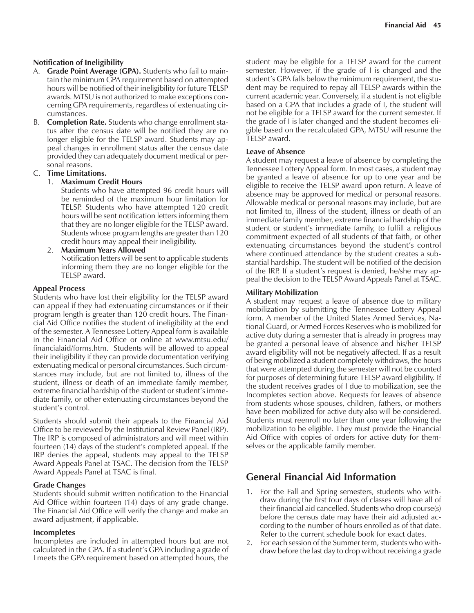### **Notification of Ineligibility**

- A. **Grade Point Average (GPA).** Students who fail to maintain the minimum GPA requirement based on attempted hours will be notified of their ineligibility for future TELSP awards. MTSU is not authorized to make exceptions concerning GPA requirements, regardless of extenuating circumstances.
- B. **Completion Rate.** Students who change enrollment status after the census date will be notified they are no longer eligible for the TELSP award. Students may appeal changes in enrollment status after the census date provided they can adequately document medical or personal reasons.

### C. **Time Limitations.**

### 1. **Maximum Credit Hours**

Students who have attempted 96 credit hours will be reminded of the maximum hour limitation for TELSP. Students who have attempted 120 credit hours will be sent notification letters informing them that they are no longer eligible for the TELSP award. Students whose program lengths are greater than 120 credit hours may appeal their ineligibility.

2. **Maximum Years Allowed**

Notification letters will be sent to applicable students informing them they are no longer eligible for the TELSP award.

### **Appeal Process**

Students who have lost their eligibility for the TELSP award can appeal if they had extenuating circumstances or if their program length is greater than 120 credit hours. The Financial Aid Office notifies the student of ineligibility at the end of the semester. A Tennessee Lottery Appeal form is available in the Financial Aid Office or online at www.mtsu.edu/ financialaid/forms.htm. Students will be allowed to appeal their ineligibility if they can provide documentation verifying extenuating medical or personal circumstances. Such circumstances may include, but are not limited to, illness of the student, illness or death of an immediate family member, extreme financial hardship of the student or student's immediate family, or other extenuating circumstances beyond the student's control.

Students should submit their appeals to the Financial Aid Office to be reviewed by the Institutional Review Panel (IRP). The IRP is composed of administrators and will meet within fourteen (14) days of the student's completed appeal. If the IRP denies the appeal, students may appeal to the TELSP Award Appeals Panel at TSAC. The decision from the TELSP Award Appeals Panel at TSAC is final.

### **Grade Changes**

Students should submit written notification to the Financial Aid Office within fourteen (14) days of any grade change. The Financial Aid Office will verify the change and make an award adjustment, if applicable.

### **Incompletes**

Incompletes are included in attempted hours but are not calculated in the GPA. If a student's GPA including a grade of I meets the GPA requirement based on attempted hours, the student may be eligible for a TELSP award for the current semester. However, if the grade of I is changed and the student's GPA falls below the minimum requirement, the student may be required to repay all TELSP awards within the current academic year. Conversely, if a student is not eligible based on a GPA that includes a grade of I, the student will not be eligible for a TELSP award for the current semester. If the grade of I is later changed and the student becomes eligible based on the recalculated GPA, MTSU will resume the TELSP award.

### **Leave of Absence**

A student may request a leave of absence by completing the Tennessee Lottery Appeal form. In most cases, a student may be granted a leave of absence for up to one year and be eligible to receive the TELSP award upon return. A leave of absence may be approved for medical or personal reasons. Allowable medical or personal reasons may include, but are not limited to, illness of the student, illness or death of an immediate family member, extreme financial hardship of the student or student's immediate family, to fulfill a religious commitment expected of all students of that faith, or other extenuating circumstances beyond the student's control where continued attendance by the student creates a substantial hardship. The student will be notified of the decision of the IRP. If a student's request is denied, he/she may appeal the decision to the TELSP Award Appeals Panel at TSAC.

### **Military Mobilization**

A student may request a leave of absence due to military mobilization by submitting the Tennessee Lottery Appeal form. A member of the United States Armed Services, National Guard, or Armed Forces Reserves who is mobilized for active duty during a semester that is already in progress may be granted a personal leave of absence and his/her TELSP award eligibility will not be negatively affected. If as a result of being mobilized a student completely withdraws, the hours that were attempted during the semester will not be counted for purposes of determining future TELSP award eligibility. If the student receives grades of I due to mobilization, see the Incompletes section above. Requests for leaves of absence from students whose spouses, children, fathers, or mothers have been mobilized for active duty also will be considered. Students must reenroll no later than one year following the mobilization to be eligible. They must provide the Financial Aid Office with copies of orders for active duty for themselves or the applicable family member.

### **General Financial Aid Information**

- 1. For the Fall and Spring semesters, students who withdraw during the first four days of classes will have all of their financial aid cancelled. Students who drop course(s) before the census date may have their aid adjusted according to the number of hours enrolled as of that date. Refer to the current schedule book for exact dates.
- 2. For each session of the Summer term, students who withdraw before the last day to drop without receiving a grade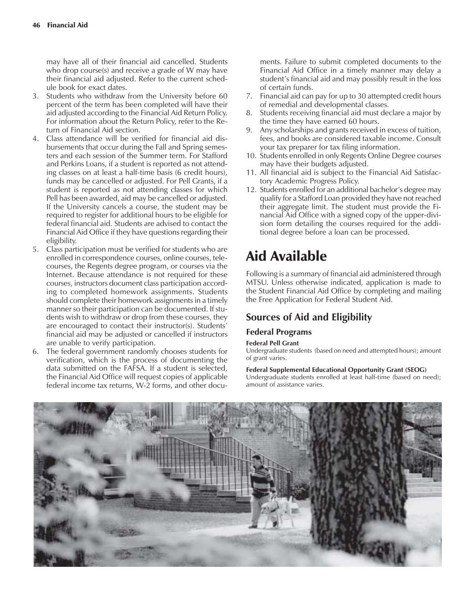may have all of their financial aid cancelled. Students who drop course(s) and receive a grade of W may have their financial aid adjusted. Refer to the current schedule book for exact dates.

- 3. Students who withdraw from the University before 60 percent of the term has been completed will have their aid adjusted according to the Financial Aid Return Policy. For information about the Return Policy, refer to the Return of Financial Aid section.
- 4. Class attendance will be verified for financial aid disbursements that occur during the Fall and Spring semesters and each session of the Summer term. For Stafford and Perkins Loans, if a student is reported as not attending classes on at least a half-time basis (6 credit hours), funds may be cancelled or adjusted. For Pell Grants, if a student is reported as not attending classes for which Pell has been awarded, aid may be cancelled or adjusted. If the University cancels a course, the student may be required to register for additional hours to be eligible for federal financial aid. Students are advised to contact the Financial Aid Office if they have questions regarding their eligibility.
- 5. Class participation must be verified for students who are enrolled in correspondence courses, online courses, telecourses, the Regents degree program, or courses via the Internet. Because attendance is not required for these courses, instructors document class participation according to completed homework assignments. Students should complete their homework assignments in a timely manner so their participation can be documented. If students wish to withdraw or drop from these courses, they are encouraged to contact their instructor(s). Students' financial aid may be adjusted or cancelled if instructors are unable to verify participation.
- 6. The federal government randomly chooses students for verification, which is the process of documenting the data submitted on the FAFSA. If a student is selected, the Financial Aid Office will request copies of applicable federal income tax returns, W-2 forms, and other docu-

ments. Failure to submit completed documents to the Financial Aid Office in a timely manner may delay a student's financial aid and may possibly result in the loss of certain funds.

- 7. Financial aid can pay for up to 30 attempted credit hours of remedial and developmental classes.
- 8. Students receiving financial aid must declare a major by the time they have earned 60 hours.
- 9. Any scholarships and grants received in excess of tuition, fees, and books are considered taxable income. Consult your tax preparer for tax filing information.
- 10. Students enrolled in only Regents Online Degree courses may have their budgets adjusted.
- 11. All financial aid is subject to the Financial Aid Satisfactory Academic Progress Policy.
- 12. Students enrolled for an additional bachelor's degree may qualify for a Stafford Loan provided they have not reached their aggregate limit. The student must provide the Financial Aid Office with a signed copy of the upper-division form detailing the courses required for the additional degree before a loan can be processed.

# Aid Available

Following is a summary of financial aid administered through MTSU. Unless otherwise indicated, application is made to the Student Financial Aid Office by completing and mailing the Free Application for Federal Student Aid.

### **Sources of Aid and Eligibility**

### **Federal Programs**

### **Federal Pell Grant**

Undergraduate students (based on need and attempted hours); amount of grant varies.

### **Federal Supplemental Educational Opportunity Grant (SEOG)**

Undergraduate students enrolled at least half-time (based on need); amount of assistance varies.